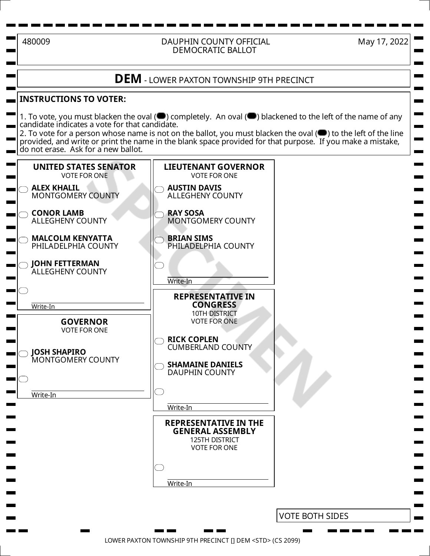## 480009 DAUPHIN COUNTY OFFICIAL DEMOCRATIC BALLOT

May 17, 2022

## **DEM** - LOWER PAXTON TOWNSHIP 9TH PRECINCT

## **INSTRUCTIONS TO VOTER:**

1. To vote, you must blacken the oval  $(\blacksquare)$  completely. An oval  $(\blacksquare)$  blackened to the left of the name of any candidate indicates a vote for that candidate.

2. To vote for a person whose name is not on the ballot, you must blacken the oval ( $\bullet$ ) to the left of the line provided, and write or print the name in the blank space provided for that purpose. If you make a mistake, do not erase. Ask for a new ballot.



VOTE BOTH SIDES